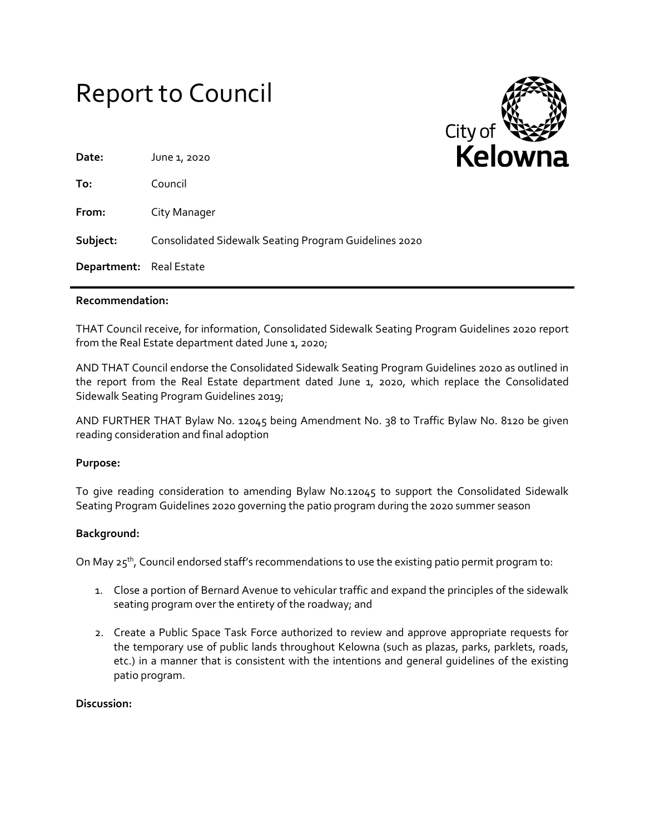# Report to Council



| Date:                   | June 1, 2020                                          |
|-------------------------|-------------------------------------------------------|
| To:                     | Council                                               |
| From:                   | City Manager                                          |
| Subject:                | Consolidated Sidewalk Seating Program Guidelines 2020 |
| Department: Real Estate |                                                       |
|                         |                                                       |

#### **Recommendation:**

THAT Council receive, for information, Consolidated Sidewalk Seating Program Guidelines 2020 report from the Real Estate department dated June 1, 2020;

AND THAT Council endorse the Consolidated Sidewalk Seating Program Guidelines 2020 as outlined in the report from the Real Estate department dated June 1, 2020, which replace the Consolidated Sidewalk Seating Program Guidelines 2019;

AND FURTHER THAT Bylaw No. 12045 being Amendment No. 38 to Traffic Bylaw No. 8120 be given reading consideration and final adoption

#### **Purpose:**

To give reading consideration to amending Bylaw No.12045 to support the Consolidated Sidewalk Seating Program Guidelines 2020 governing the patio program during the 2020 summer season

#### **Background:**

On May 25<sup>th</sup>, Council endorsed staff's recommendations to use the existing patio permit program to:

- 1. Close a portion of Bernard Avenue to vehicular traffic and expand the principles of the sidewalk seating program over the entirety of the roadway; and
- 2. Create a Public Space Task Force authorized to review and approve appropriate requests for the temporary use of public lands throughout Kelowna (such as plazas, parks, parklets, roads, etc.) in a manner that is consistent with the intentions and general guidelines of the existing patio program.

#### **Discussion:**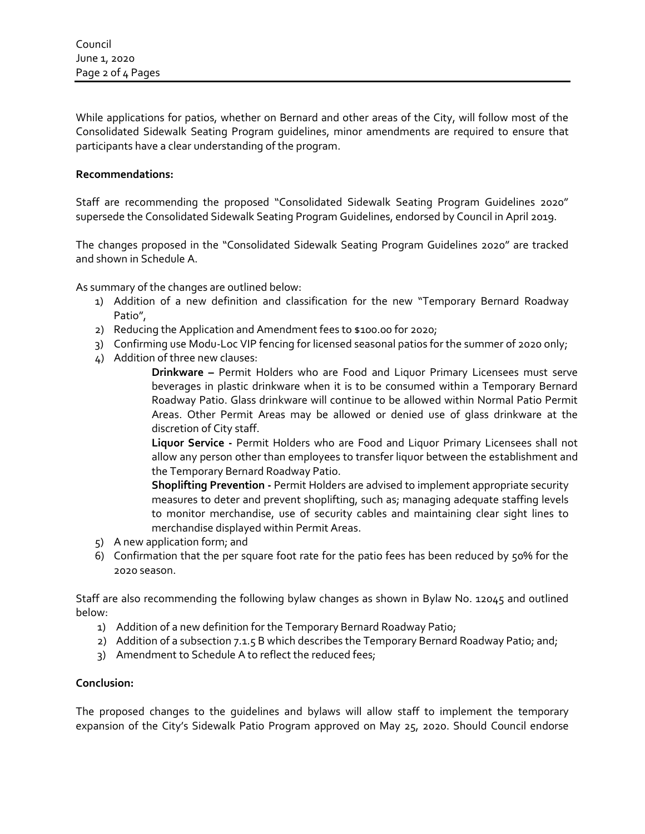While applications for patios, whether on Bernard and other areas of the City, will follow most of the Consolidated Sidewalk Seating Program guidelines, minor amendments are required to ensure that participants have a clear understanding of the program.

### **Recommendations:**

Staff are recommending the proposed "Consolidated Sidewalk Seating Program Guidelines 2020" supersede the Consolidated Sidewalk Seating Program Guidelines, endorsed by Council in April 2019.

The changes proposed in the "Consolidated Sidewalk Seating Program Guidelines 2020" are tracked and shown in Schedule A.

As summary of the changes are outlined below:

- 1) Addition of a new definition and classification for the new "Temporary Bernard Roadway Patio",
- 2) Reducing the Application and Amendment fees to \$100.00 for 2020;
- 3) Confirming use Modu-Loc VIP fencing for licensed seasonal patios for the summer of 2020 only;
- 4) Addition of three new clauses:

**Drinkware –** Permit Holders who are Food and Liquor Primary Licensees must serve beverages in plastic drinkware when it is to be consumed within a Temporary Bernard Roadway Patio. Glass drinkware will continue to be allowed within Normal Patio Permit Areas. Other Permit Areas may be allowed or denied use of glass drinkware at the discretion of City staff.

**Liquor Service -** Permit Holders who are Food and Liquor Primary Licensees shall not allow any person other than employees to transfer liquor between the establishment and the Temporary Bernard Roadway Patio.

**Shoplifting Prevention -** Permit Holders are advised to implement appropriate security measures to deter and prevent shoplifting, such as; managing adequate staffing levels to monitor merchandise, use of security cables and maintaining clear sight lines to merchandise displayed within Permit Areas.

- 5) A new application form; and
- 6) Confirmation that the per square foot rate for the patio fees has been reduced by 50% for the 2020 season.

Staff are also recommending the following bylaw changes as shown in Bylaw No. 12045 and outlined below:

- 1) Addition of a new definition for the Temporary Bernard Roadway Patio;
- 2) Addition of a subsection 7.1.5 B which describes the Temporary Bernard Roadway Patio; and;
- 3) Amendment to Schedule A to reflect the reduced fees;

#### **Conclusion:**

The proposed changes to the guidelines and bylaws will allow staff to implement the temporary expansion of the City's Sidewalk Patio Program approved on May 25, 2020. Should Council endorse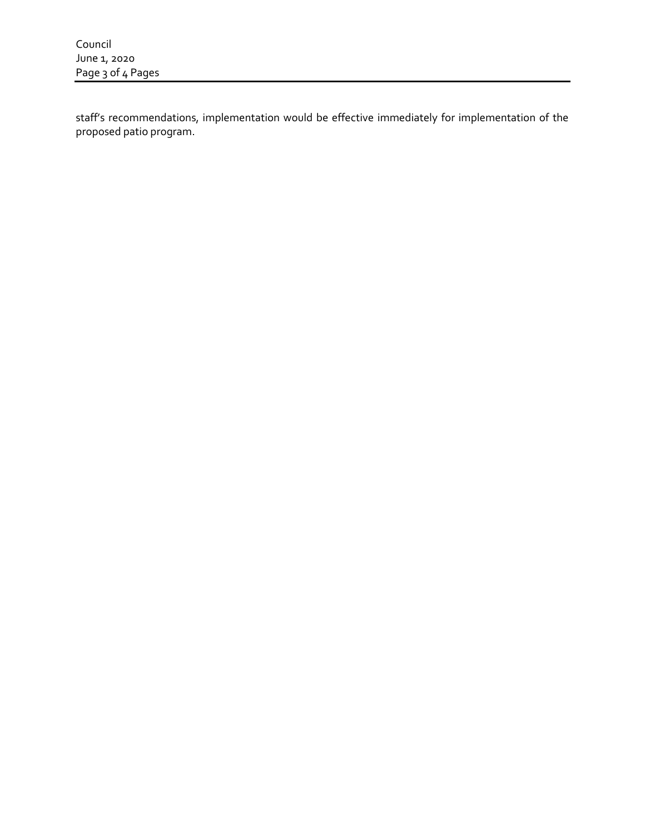staff's recommendations, implementation would be effective immediately for implementation of the proposed patio program.